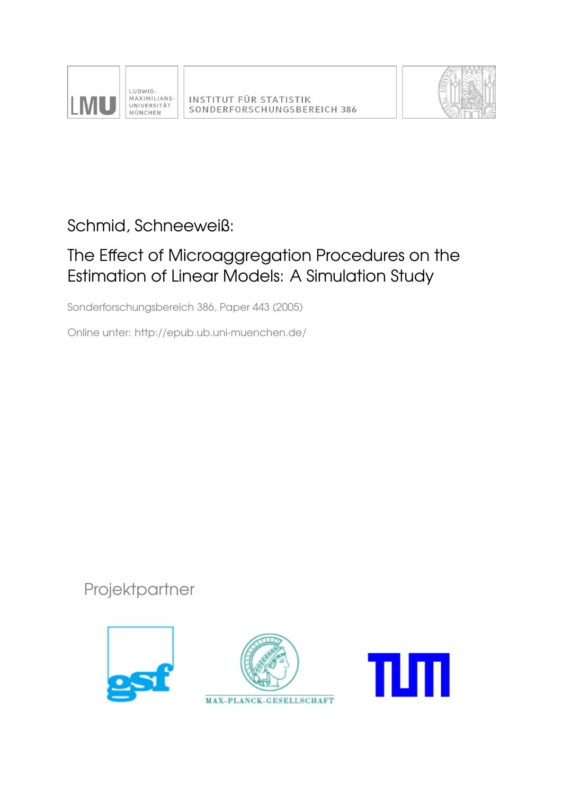

LUDWIG-MAXIMILIANS-UNIVERSITÄT<br>MÜNCHEN

**INSTITUT FÜR STATISTIK** SONDERFORSCHUNGSBEREICH 386



## Schmid, Schneeweiß:

# The Effect of Microaggregation Procedures on the Estimation of Linear Models: A Simulation Study

Sonderforschungsbereich 386, Paper 443 (2005)

Online unter: http://epub.ub.uni-muenchen.de/

# Projektpartner





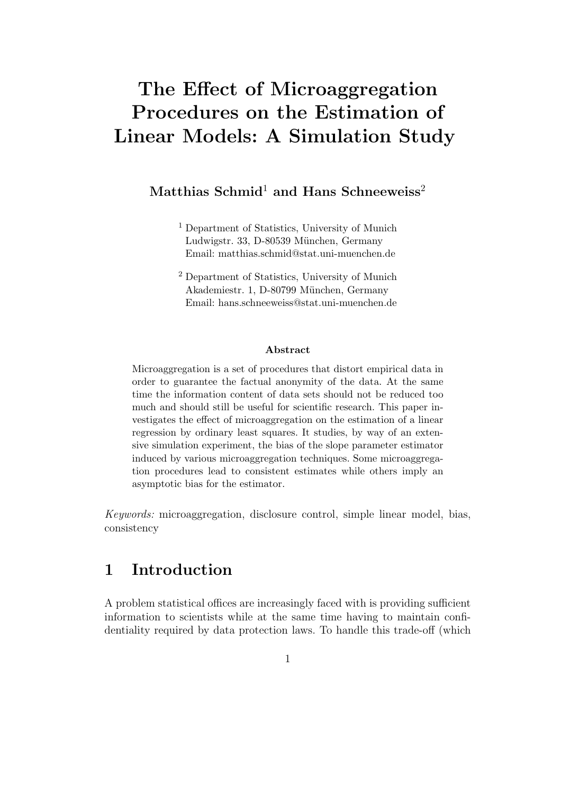# The Effect of Microaggregation Procedures on the Estimation of Linear Models: A Simulation Study

#### Matthias Schmid<sup>1</sup> and Hans Schneeweiss<sup>2</sup>

- <sup>1</sup> Department of Statistics, University of Munich Ludwigstr. 33, D-80539 München, Germany Email: matthias.schmid@stat.uni-muenchen.de
- <sup>2</sup> Department of Statistics, University of Munich Akademiestr. 1, D-80799 München, Germany Email: hans.schneeweiss@stat.uni-muenchen.de

#### Abstract

Microaggregation is a set of procedures that distort empirical data in order to guarantee the factual anonymity of the data. At the same time the information content of data sets should not be reduced too much and should still be useful for scientific research. This paper investigates the effect of microaggregation on the estimation of a linear regression by ordinary least squares. It studies, by way of an extensive simulation experiment, the bias of the slope parameter estimator induced by various microaggregation techniques. Some microaggregation procedures lead to consistent estimates while others imply an asymptotic bias for the estimator.

Keywords: microaggregation, disclosure control, simple linear model, bias, consistency

#### 1 Introduction

A problem statistical offices are increasingly faced with is providing sufficient information to scientists while at the same time having to maintain confidentiality required by data protection laws. To handle this trade-off (which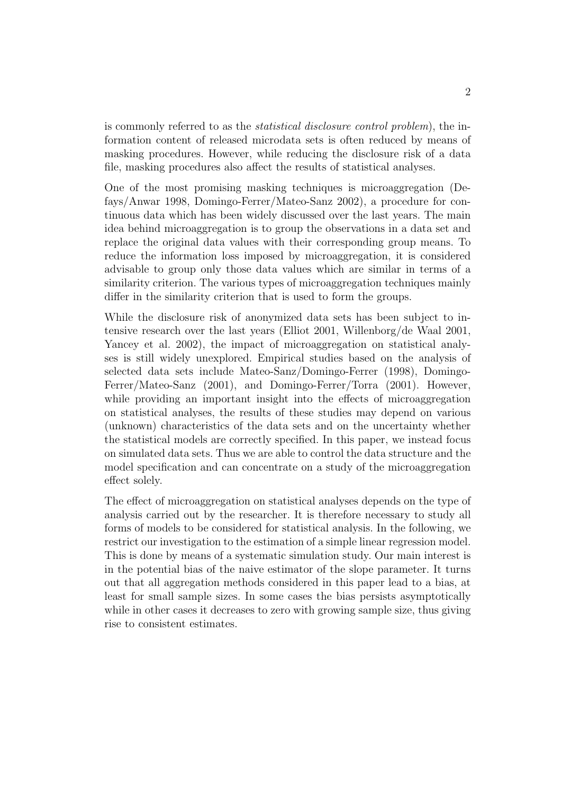is commonly referred to as the statistical disclosure control problem), the information content of released microdata sets is often reduced by means of masking procedures. However, while reducing the disclosure risk of a data file, masking procedures also affect the results of statistical analyses.

One of the most promising masking techniques is microaggregation (Defays/Anwar 1998, Domingo-Ferrer/Mateo-Sanz 2002), a procedure for continuous data which has been widely discussed over the last years. The main idea behind microaggregation is to group the observations in a data set and replace the original data values with their corresponding group means. To reduce the information loss imposed by microaggregation, it is considered advisable to group only those data values which are similar in terms of a similarity criterion. The various types of microaggregation techniques mainly differ in the similarity criterion that is used to form the groups.

While the disclosure risk of anonymized data sets has been subject to intensive research over the last years (Elliot 2001, Willenborg/de Waal 2001, Yancey et al. 2002), the impact of microaggregation on statistical analyses is still widely unexplored. Empirical studies based on the analysis of selected data sets include Mateo-Sanz/Domingo-Ferrer (1998), Domingo-Ferrer/Mateo-Sanz (2001), and Domingo-Ferrer/Torra (2001). However, while providing an important insight into the effects of microaggregation on statistical analyses, the results of these studies may depend on various (unknown) characteristics of the data sets and on the uncertainty whether the statistical models are correctly specified. In this paper, we instead focus on simulated data sets. Thus we are able to control the data structure and the model specification and can concentrate on a study of the microaggregation effect solely.

The effect of microaggregation on statistical analyses depends on the type of analysis carried out by the researcher. It is therefore necessary to study all forms of models to be considered for statistical analysis. In the following, we restrict our investigation to the estimation of a simple linear regression model. This is done by means of a systematic simulation study. Our main interest is in the potential bias of the naive estimator of the slope parameter. It turns out that all aggregation methods considered in this paper lead to a bias, at least for small sample sizes. In some cases the bias persists asymptotically while in other cases it decreases to zero with growing sample size, thus giving rise to consistent estimates.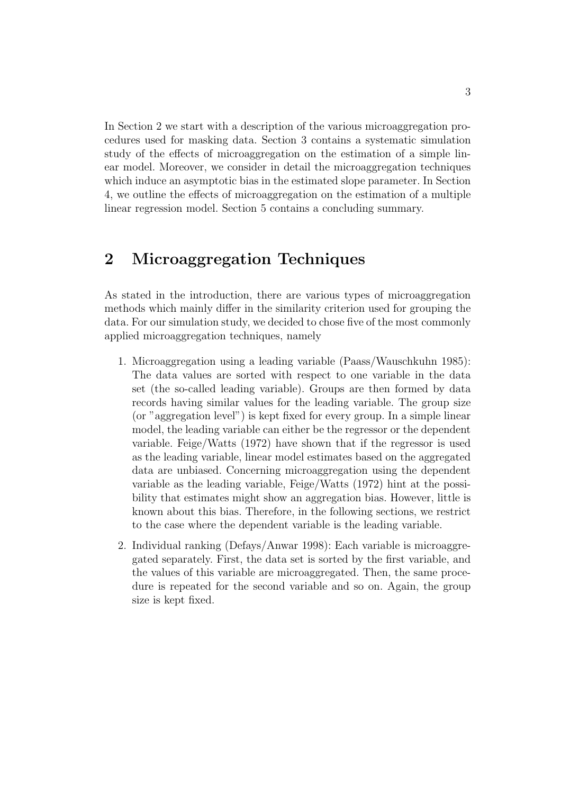In Section 2 we start with a description of the various microaggregation procedures used for masking data. Section 3 contains a systematic simulation study of the effects of microaggregation on the estimation of a simple linear model. Moreover, we consider in detail the microaggregation techniques which induce an asymptotic bias in the estimated slope parameter. In Section 4, we outline the effects of microaggregation on the estimation of a multiple linear regression model. Section 5 contains a concluding summary.

#### 2 Microaggregation Techniques

As stated in the introduction, there are various types of microaggregation methods which mainly differ in the similarity criterion used for grouping the data. For our simulation study, we decided to chose five of the most commonly applied microaggregation techniques, namely

- 1. Microaggregation using a leading variable (Paass/Wauschkuhn 1985): The data values are sorted with respect to one variable in the data set (the so-called leading variable). Groups are then formed by data records having similar values for the leading variable. The group size (or "aggregation level") is kept fixed for every group. In a simple linear model, the leading variable can either be the regressor or the dependent variable. Feige/Watts (1972) have shown that if the regressor is used as the leading variable, linear model estimates based on the aggregated data are unbiased. Concerning microaggregation using the dependent variable as the leading variable, Feige/Watts (1972) hint at the possibility that estimates might show an aggregation bias. However, little is known about this bias. Therefore, in the following sections, we restrict to the case where the dependent variable is the leading variable.
- 2. Individual ranking (Defays/Anwar 1998): Each variable is microaggregated separately. First, the data set is sorted by the first variable, and the values of this variable are microaggregated. Then, the same procedure is repeated for the second variable and so on. Again, the group size is kept fixed.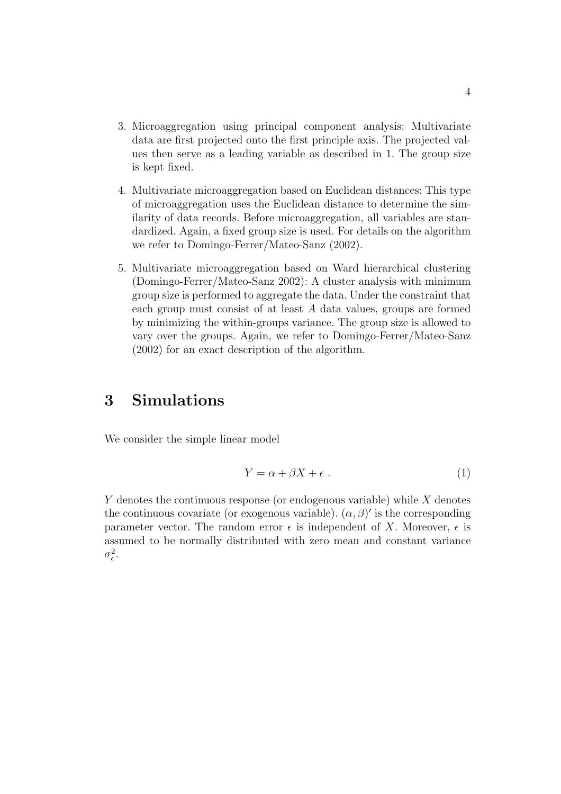- 3. Microaggregation using principal component analysis: Multivariate data are first projected onto the first principle axis. The projected values then serve as a leading variable as described in 1. The group size is kept fixed.
- 4. Multivariate microaggregation based on Euclidean distances: This type of microaggregation uses the Euclidean distance to determine the similarity of data records. Before microaggregation, all variables are standardized. Again, a fixed group size is used. For details on the algorithm we refer to Domingo-Ferrer/Mateo-Sanz (2002).
- 5. Multivariate microaggregation based on Ward hierarchical clustering (Domingo-Ferrer/Mateo-Sanz 2002): A cluster analysis with minimum group size is performed to aggregate the data. Under the constraint that each group must consist of at least A data values, groups are formed by minimizing the within-groups variance. The group size is allowed to vary over the groups. Again, we refer to Domingo-Ferrer/Mateo-Sanz (2002) for an exact description of the algorithm.

#### 3 Simulations

We consider the simple linear model

$$
Y = \alpha + \beta X + \epsilon \tag{1}
$$

 $Y$  denotes the continuous response (or endogenous variable) while  $X$  denotes the continuous covariate (or exogenous variable).  $(\alpha, \beta)'$  is the corresponding parameter vector. The random error  $\epsilon$  is independent of X. Moreover,  $\epsilon$  is assumed to be normally distributed with zero mean and constant variance  $\sigma_{\epsilon}^2$ .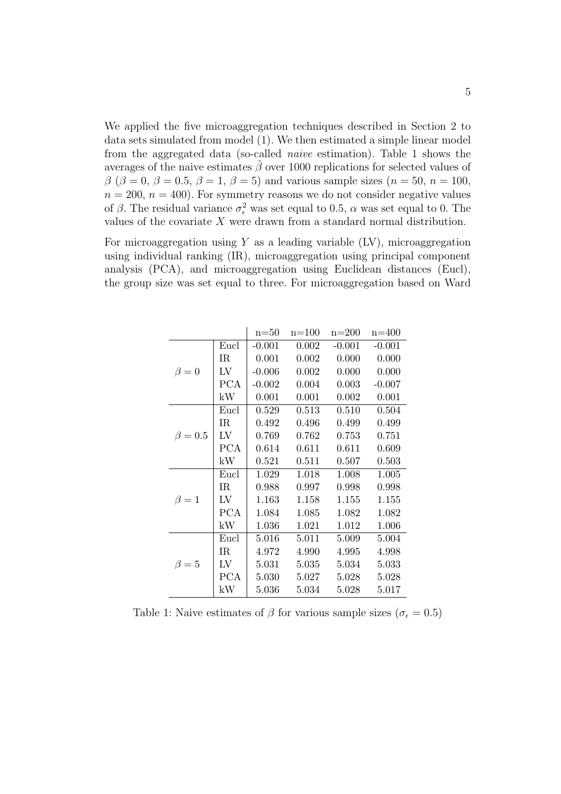We applied the five microaggregation techniques described in Section 2 to data sets simulated from model (1). We then estimated a simple linear model from the aggregated data (so-called naive estimation). Table 1 shows the averages of the naive estimates  $\hat{\beta}$  over 1000 replications for selected values of  $\beta$  ( $\beta = 0$ ,  $\beta = 0.5$ ,  $\beta = 1$ ,  $\beta = 5$ ) and various sample sizes ( $n = 50$ ,  $n = 100$ ,  $n = 200$ ,  $n = 400$ ). For symmetry reasons we do not consider negative values of  $\beta$ . The residual variance  $\sigma_{\epsilon}^2$  was set equal to 0.5,  $\alpha$  was set equal to 0. The values of the covariate X were drawn from a standard normal distribution.

For microaggregation using  $Y$  as a leading variable  $(LV)$ , microaggregation using individual ranking (IR), microaggregation using principal component analysis (PCA), and microaggregation using Euclidean distances (Eucl), the group size was set equal to three. For microaggregation based on Ward

|             |            | $n=50$   | $n = 100$ | $n=200$  | $n = 400$ |
|-------------|------------|----------|-----------|----------|-----------|
|             | Eucl       | $-0.001$ | 0.002     | $-0.001$ | $-0.001$  |
|             | IR         | 0.001    | 0.002     | 0.000    | 0.000     |
| $\beta = 0$ | LV         | $-0.006$ | 0.002     | 0.000    | 0.000     |
|             | <b>PCA</b> | $-0.002$ | 0.004     | 0.003    | $-0.007$  |
|             | kW         | 0.001    | 0.001     | 0.002    | 0.001     |
|             | Eucl       | 0.529    | 0.513     | 0.510    | 0.504     |
|             | IR.        | 0.492    | 0.496     | 0.499    | 0.499     |
| $\beta=0.5$ | LV         | 0.769    | 0.762     | 0.753    | 0.751     |
|             | <b>PCA</b> | 0.614    | 0.611     | 0.611    | 0.609     |
|             | kW         | 0.521    | 0.511     | 0.507    | 0.503     |
| $\beta=1$   | Eucl       | 1.029    | 1.018     | 1.008    | 1.005     |
|             | IR         | 0.988    | 0.997     | 0.998    | 0.998     |
|             | LV         | 1.163    | 1.158     | 1.155    | 1.155     |
|             | <b>PCA</b> | 1.084    | 1.085     | 1.082    | 1.082     |
|             | kW         | 1.036    | 1.021     | 1.012    | 1.006     |
| $\beta = 5$ | Eucl       | 5.016    | 5.011     | 5.009    | 5.004     |
|             | IR         | 4.972    | 4.990     | 4.995    | 4.998     |
|             | LV         | 5.031    | 5.035     | 5.034    | 5.033     |
|             | <b>PCA</b> | 5.030    | 5.027     | 5.028    | 5.028     |
|             | kW         | 5.036    | 5.034     | 5.028    | 5.017     |

Table 1: Naive estimates of  $\beta$  for various sample sizes ( $\sigma_{\epsilon} = 0.5$ )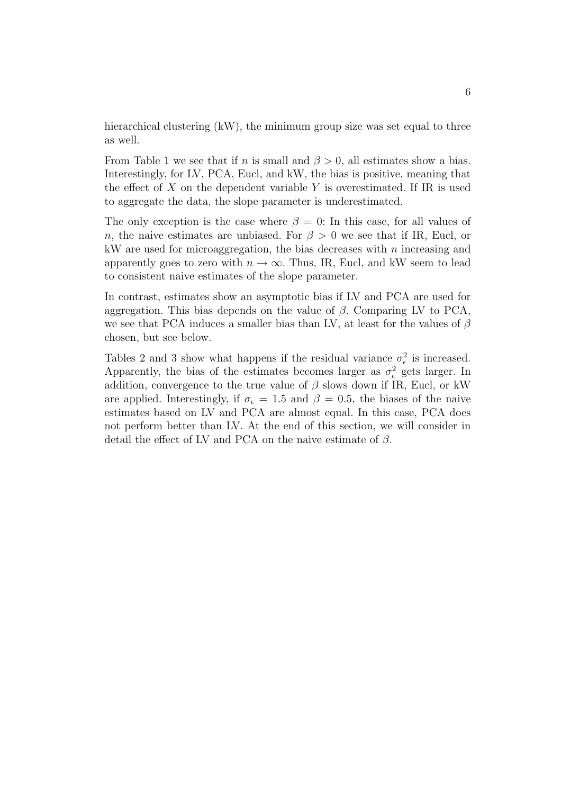hierarchical clustering (kW), the minimum group size was set equal to three as well.

From Table 1 we see that if n is small and  $\beta > 0$ , all estimates show a bias. Interestingly, for LV, PCA, Eucl, and kW, the bias is positive, meaning that the effect of X on the dependent variable Y is overestimated. If IR is used to aggregate the data, the slope parameter is underestimated.

The only exception is the case where  $\beta = 0$ : In this case, for all values of n, the naive estimates are unbiased. For  $\beta > 0$  we see that if IR, Eucl, or  $kW$  are used for microaggregation, the bias decreases with n increasing and apparently goes to zero with  $n \to \infty$ . Thus, IR, Eucl, and kW seem to lead to consistent naive estimates of the slope parameter.

In contrast, estimates show an asymptotic bias if LV and PCA are used for aggregation. This bias depends on the value of  $\beta$ . Comparing LV to PCA, we see that PCA induces a smaller bias than LV, at least for the values of  $\beta$ chosen, but see below.

Tables 2 and 3 show what happens if the residual variance  $\sigma_{\epsilon}^2$  is increased. Apparently, the bias of the estimates becomes larger as  $\sigma_{\epsilon}^2$  gets larger. In addition, convergence to the true value of  $\beta$  slows down if IR, Eucl, or kW are applied. Interestingly, if  $\sigma_{\epsilon} = 1.5$  and  $\beta = 0.5$ , the biases of the naive estimates based on LV and PCA are almost equal. In this case, PCA does not perform better than LV. At the end of this section, we will consider in detail the effect of LV and PCA on the naive estimate of  $\beta$ .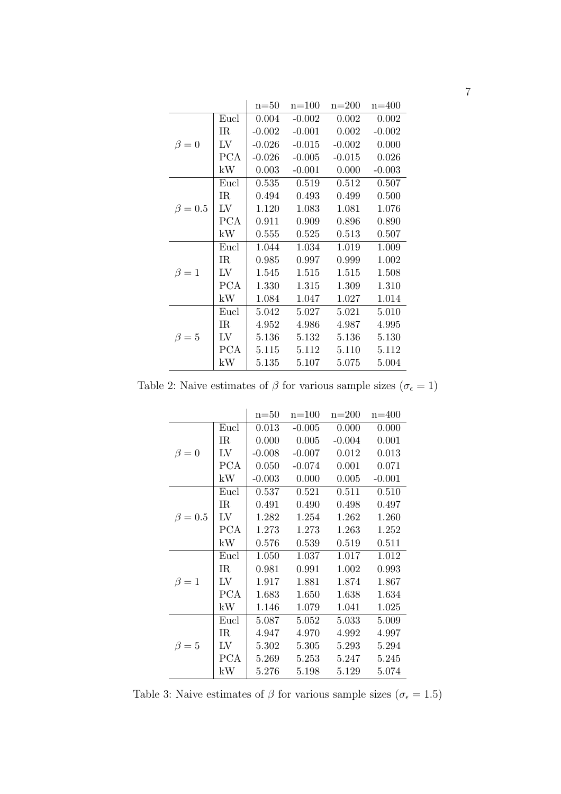|               |             | $n = 50$ | $n = 100$ | $n=200$  | $n = 400$ |
|---------------|-------------|----------|-----------|----------|-----------|
|               | Eucl        | 0.004    | $-0.002$  | 0.002    | 0.002     |
|               | IR          | $-0.002$ | $-0.001$  | 0.002    | $-0.002$  |
|               |             |          |           |          |           |
| $\beta = 0$   | LV          | $-0.026$ | $-0.015$  | $-0.002$ | 0.000     |
|               | <b>PCA</b>  | $-0.026$ | $-0.005$  | $-0.015$ | 0.026     |
|               | kW          | 0.003    | $-0.001$  | 0.000    | $-0.003$  |
|               | Eucl        | 0.535    | 0.519     | 0.512    | 0.507     |
|               | $_{\rm IR}$ | 0.494    | 0.493     | 0.499    | 0.500     |
| $\beta = 0.5$ | LV          | 1.120    | 1.083     | 1.081    | 1.076     |
|               | <b>PCA</b>  | 0.911    | 0.909     | 0.896    | 0.890     |
|               | kW          | 0.555    | 0.525     | 0.513    | 0.507     |
| $\beta=1$     | Eucl        | 1.044    | 1.034     | 1.019    | 1.009     |
|               | $_{\rm IR}$ | 0.985    | 0.997     | 0.999    | 1.002     |
|               | LV          | 1.545    | 1.515     | 1.515    | 1.508     |
|               | <b>PCA</b>  | 1.330    | 1.315     | 1.309    | 1.310     |
|               | kW          | 1.084    | 1.047     | 1.027    | 1.014     |
| $\beta=5$     | Eucl        | 5.042    | 5.027     | 5.021    | 5.010     |
|               | IR          | 4.952    | 4.986     | 4.987    | 4.995     |
|               | LV          | 5.136    | 5.132     | 5.136    | 5.130     |
|               | <b>PCA</b>  | 5.115    | 5.112     | 5.110    | 5.112     |
|               | kW          | 5.135    | 5.107     | 5.075    | 5.004     |

Table 2: Naive estimates of  $\beta$  for various sample sizes  $(\sigma_\epsilon=1)$ 

|               |             | $n=50$   | $n = 100$ | $n=200$  | $n = 400$ |
|---------------|-------------|----------|-----------|----------|-----------|
|               | Eucl        | 0.013    | $-0.005$  | 0.000    | 0.000     |
|               | $_{\rm IR}$ | 0.000    | 0.005     | $-0.004$ | 0.001     |
| $\beta = 0$   | LV          | $-0.008$ | $-0.007$  | 0.012    | 0.013     |
|               | PCA         | 0.050    | $-0.074$  | 0.001    | 0.071     |
|               | kW          | $-0.003$ | 0.000     | 0.005    | $-0.001$  |
|               | Eucl        | 0.537    | 0.521     | 0.511    | 0.510     |
|               | IR          | 0.491    | 0.490     | 0.498    | 0.497     |
| $\beta = 0.5$ | LV          | 1.282    | 1.254     | 1.262    | 1.260     |
|               | <b>PCA</b>  | 1.273    | 1.273     | 1.263    | 1.252     |
|               | kW          | 0.576    | 0.539     | 0.519    | 0.511     |
|               | Eucl        | 1.050    | 1.037     | 1.017    | 1.012     |
|               | $_{\rm IR}$ | 0.981    | 0.991     | 1.002    | 0.993     |
| $\beta=1$     | LV          | 1.917    | 1.881     | 1.874    | 1.867     |
|               | <b>PCA</b>  | 1.683    | 1.650     | 1.638    | 1.634     |
|               | kW          | 1.146    | 1.079     | 1.041    | 1.025     |
|               | Eucl        | 5.087    | 5.052     | 5.033    | 5.009     |
|               | $_{\rm IR}$ | 4.947    | 4.970     | 4.992    | 4.997     |
| $\beta=5$     | LV          | 5.302    | 5.305     | 5.293    | 5.294     |
|               | <b>PCA</b>  | 5.269    | 5.253     | 5.247    | 5.245     |
|               | kW          | 5.276    | 5.198     | 5.129    | 5.074     |

Table 3: Naive estimates of  $\beta$  for various sample sizes  $(\sigma_{\epsilon}=1.5)$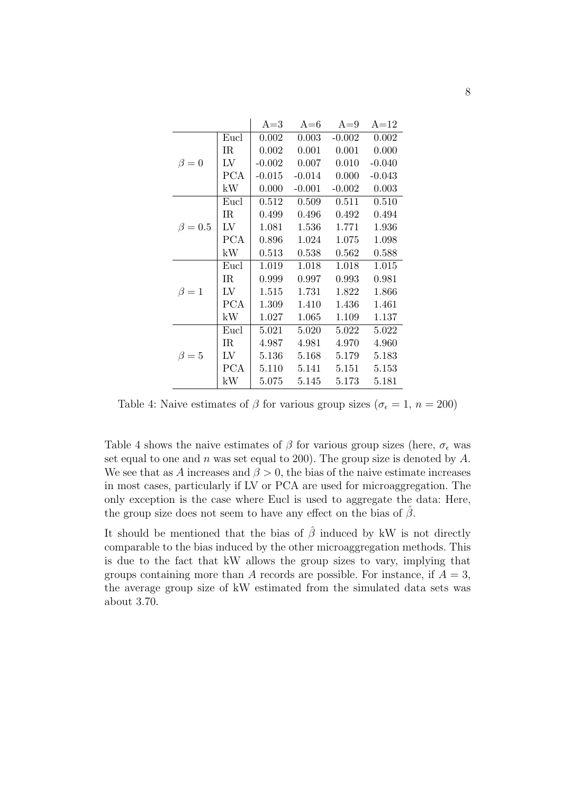|             |             | $A=3$    | $A=6$    | $A=9$    | $A=12$   |
|-------------|-------------|----------|----------|----------|----------|
|             | Eucl        | 0.002    | 0.003    | $-0.002$ | 0.002    |
|             | $_{\rm IR}$ | 0.002    | 0.001    | 0.001    | 0.000    |
| $\beta = 0$ | LV          | $-0.002$ | 0.007    | 0.010    | $-0.040$ |
|             | <b>PCA</b>  | $-0.015$ | $-0.014$ | 0.000    | $-0.043$ |
|             | kW          | 0.000    | $-0.001$ | $-0.002$ | 0.003    |
|             | Eucl        | 0.512    | 0.509    | 0.511    | 0.510    |
|             | IR          | 0.499    | 0.496    | 0.492    | 0.494    |
| $\beta=0.5$ | LV          | 1.081    | 1.536    | 1.771    | 1.936    |
|             | <b>PCA</b>  | 0.896    | 1.024    | 1.075    | 1.098    |
|             | kW          | 0.513    | 0.538    | 0.562    | 0.588    |
|             | Eucl        | 1.019    | 1.018    | 1.018    | 1.015    |
|             | $_{\rm IR}$ | 0.999    | 0.997    | 0.993    | 0.981    |
| $\beta=1$   | LV          | 1.515    | 1.731    | 1.822    | 1.866    |
|             | <b>PCA</b>  | 1.309    | 1.410    | 1.436    | 1.461    |
|             | kW          | 1.027    | 1.065    | 1.109    | 1.137    |
|             | Eucl        | 5.021    | 5.020    | 5.022    | 5.022    |
|             | $_{\rm IR}$ | 4.987    | 4.981    | 4.970    | 4.960    |
| $\beta = 5$ | LV          | 5.136    | 5.168    | 5.179    | 5.183    |
|             | <b>PCA</b>  | 5.110    | 5.141    | 5.151    | 5.153    |
|             | kW          | 5.075    | 5.145    | 5.173    | 5.181    |

Table 4: Naive estimates of  $\beta$  for various group sizes  $(\sigma_{\epsilon} = 1, n = 200)$ 

Table 4 shows the naive estimates of  $\beta$  for various group sizes (here,  $\sigma_{\epsilon}$  was set equal to one and n was set equal to 200). The group size is denoted by  $A$ . We see that as A increases and  $\beta > 0$ , the bias of the naive estimate increases in most cases, particularly if LV or PCA are used for microaggregation. The only exception is the case where Eucl is used to aggregate the data: Here, the group size does not seem to have any effect on the bias of  $\beta$ .

It should be mentioned that the bias of  $\hat{\beta}$  induced by kW is not directly comparable to the bias induced by the other microaggregation methods. This is due to the fact that kW allows the group sizes to vary, implying that groups containing more than A records are possible. For instance, if  $A = 3$ , the average group size of kW estimated from the simulated data sets was about 3.70.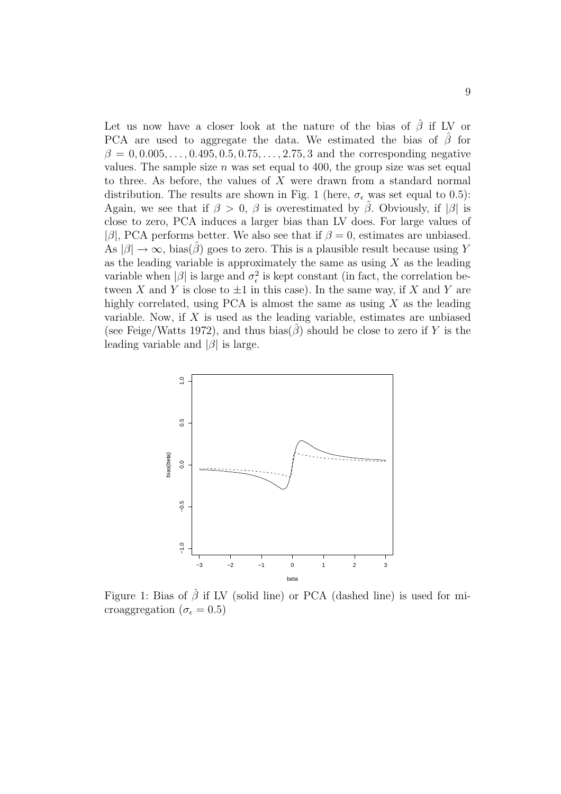Let us now have a closer look at the nature of the bias of  $\hat{\beta}$  if LV or PCA are used to aggregate the data. We estimated the bias of  $\hat{\beta}$  for  $\beta = 0, 0.005, \ldots, 0.495, 0.5, 0.75, \ldots, 2.75, 3$  and the corresponding negative values. The sample size  $n$  was set equal to 400, the group size was set equal to three. As before, the values of  $X$  were drawn from a standard normal distribution. The results are shown in Fig. 1 (here,  $\sigma_{\epsilon}$  was set equal to 0.5): Again, we see that if  $\beta > 0$ ,  $\beta$  is overestimated by  $\beta$ . Obviously, if  $|\beta|$  is close to zero, PCA induces a larger bias than LV does. For large values of  $|\beta|$ , PCA performs better. We also see that if  $\beta = 0$ , estimates are unbiased. As  $|\beta| \to \infty$ , bias( $\beta$ ) goes to zero. This is a plausible result because using Y as the leading variable is approximately the same as using  $X$  as the leading variable when  $|\beta|$  is large and  $\sigma_{\epsilon}^2$  is kept constant (in fact, the correlation between X and Y is close to  $\pm 1$  in this case). In the same way, if X and Y are highly correlated, using PCA is almost the same as using  $X$  as the leading variable. Now, if  $X$  is used as the leading variable, estimates are unbiased (see Feige/Watts 1972), and thus bias( $\beta$ ) should be close to zero if Y is the leading variable and  $|\beta|$  is large.



Figure 1: Bias of  $\hat{\beta}$  if LV (solid line) or PCA (dashed line) is used for microaggregation ( $\sigma_{\epsilon} = 0.5$ )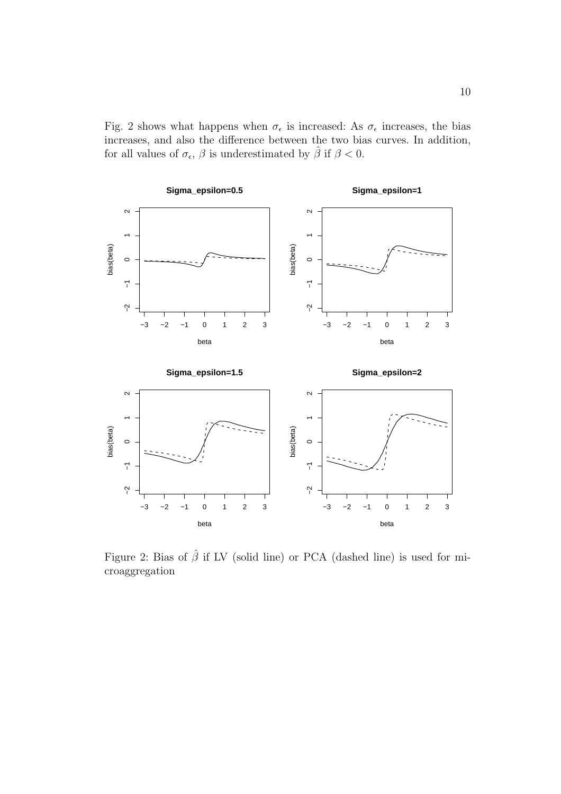Fig. 2 shows what happens when  $\sigma_{\epsilon}$  is increased: As  $\sigma_{\epsilon}$  increases, the bias increases, and also the difference between the two bias curves. In addition, for all values of  $\sigma_{\epsilon}$ ,  $\beta$  is underestimated by  $\hat{\beta}$  if  $\beta < 0$ .



Figure 2: Bias of  $\hat{\beta}$  if LV (solid line) or PCA (dashed line) is used for microaggregation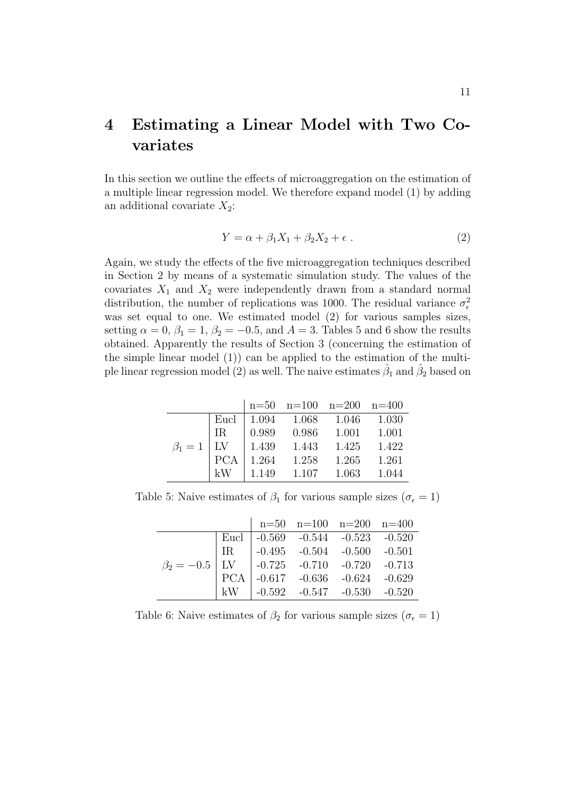## 4 Estimating a Linear Model with Two Covariates

In this section we outline the effects of microaggregation on the estimation of a multiple linear regression model. We therefore expand model (1) by adding an additional covariate  $X_2$ :

$$
Y = \alpha + \beta_1 X_1 + \beta_2 X_2 + \epsilon \tag{2}
$$

Again, we study the effects of the five microaggregation techniques described in Section 2 by means of a systematic simulation study. The values of the covariates  $X_1$  and  $X_2$  were independently drawn from a standard normal distribution, the number of replications was 1000. The residual variance  $\sigma_{\epsilon}^2$ was set equal to one. We estimated model (2) for various samples sizes, setting  $\alpha = 0$ ,  $\beta_1 = 1$ ,  $\beta_2 = -0.5$ , and  $A = 3$ . Tables 5 and 6 show the results obtained. Apparently the results of Section 3 (concerning the estimation of the simple linear model (1)) can be applied to the estimation of the multiple linear regression model (2) as well. The naive estimates  $\hat{\beta}_1$  and  $\hat{\beta}_2$  based on

|                                                                                                                                                                                          |     | $n=50$ $n=100$ $n=200$ $n=400$  |  |
|------------------------------------------------------------------------------------------------------------------------------------------------------------------------------------------|-----|---------------------------------|--|
|                                                                                                                                                                                          |     |                                 |  |
| $\begin{tabular}{c cccc} \hline & Eucl & 1.094 & 1.068 & 1.046 & 1.030 \\ \hline IR & 0.989 & 0.986 & 1.001 & 1.001 \\ \hline A & 1.439 & 1.443 & 1.425 & 1.422 \\ \hline \end{tabular}$ |     |                                 |  |
|                                                                                                                                                                                          |     |                                 |  |
|                                                                                                                                                                                          | PCA | $1.264$ $1.258$ $1.265$ $1.261$ |  |
|                                                                                                                                                                                          | kW  | $1.149$ $1.107$ $1.063$ $1.044$ |  |

Table 5: Naive estimates of  $\beta_1$  for various sample sizes  $(\sigma_{\epsilon} = 1)$ 

|                                                     |            |  | $n=50$ $n=100$ $n=200$ $n=400$           |  |
|-----------------------------------------------------|------------|--|------------------------------------------|--|
|                                                     |            |  | Eucl $\vert$ -0.569 -0.544 -0.523 -0.520 |  |
|                                                     | $\perp$ IR |  | $\vert$ -0.495 -0.504 -0.500 -0.501      |  |
| $\beta_2 = -0.5$   LV   -0.725 -0.710 -0.720 -0.713 |            |  |                                          |  |
|                                                     | <b>PCA</b> |  | $-0.617$ $-0.636$ $-0.624$ $-0.629$      |  |
|                                                     |            |  | kW $\vert$ -0.592 -0.547 -0.530 -0.520   |  |

Table 6: Naive estimates of  $\beta_2$  for various sample sizes  $(\sigma_{\epsilon} = 1)$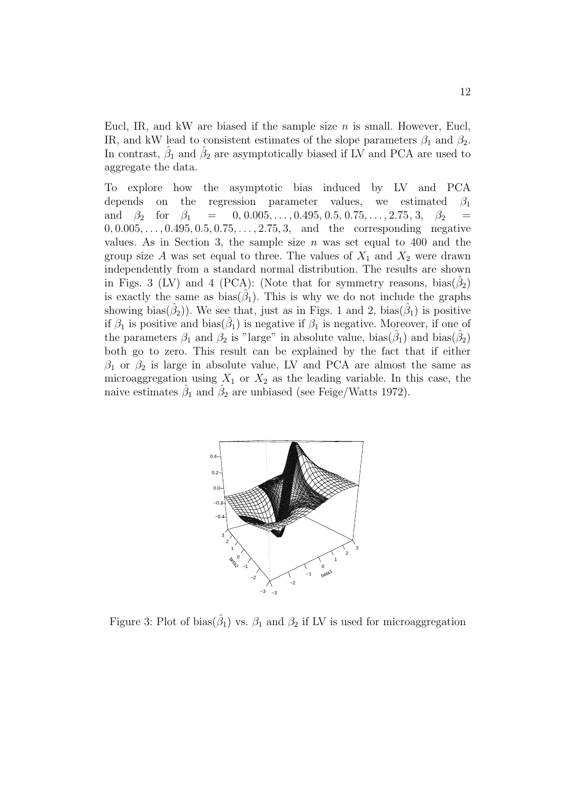Eucl, IR, and kW are biased if the sample size  $n$  is small. However, Eucl, IR, and kW lead to consistent estimates of the slope parameters  $\beta_1$  and  $\beta_2$ . In contrast,  $\hat{\beta}_1$  and  $\hat{\beta}_2$  are asymptotically biased if LV and PCA are used to aggregate the data.

To explore how the asymptotic bias induced by LV and PCA depends on the regression parameter values, we estimated  $\beta_1$ and  $\beta_2$  for  $\beta_1 = 0, 0.005, \ldots, 0.495, 0.5, 0.75, \ldots, 2.75, 3, \beta_2 =$  $0, 0.005, \ldots, 0.495, 0.5, 0.75, \ldots, 2.75, 3, \text{ and the corresponding negative}$ values. As in Section 3, the sample size  $n$  was set equal to 400 and the group size A was set equal to three. The values of  $X_1$  and  $X_2$  were drawn independently from a standard normal distribution. The results are shown in Figs. 3 (LV) and 4 (PCA): (Note that for symmetry reasons, bias( $\hat{\beta}_2$ ) is exactly the same as  $bias(\hat{\beta}_1)$ . This is why we do not include the graphs showing bias $(\hat{\beta}_2)$ ). We see that, just as in Figs. 1 and 2, bias $(\hat{\beta}_1)$  is positive if  $\beta_1$  is positive and bias $(\hat{\beta}_1)$  is negative if  $\beta_1$  is negative. Moreover, if one of the parameters  $\beta_1$  and  $\beta_2$  is "large" in absolute value, bias( $\hat{\beta}_1$ ) and bias( $\hat{\beta}_2$ ) both go to zero. This result can be explained by the fact that if either  $\beta_1$  or  $\beta_2$  is large in absolute value, LV and PCA are almost the same as microaggregation using  $X_1$  or  $X_2$  as the leading variable. In this case, the naive estimates  $\hat{\beta}_1$  and  $\hat{\beta}_2$  are unbiased (see Feige/Watts 1972).



Figure 3: Plot of bias( $\hat{\beta}_1$ ) vs.  $\beta_1$  and  $\beta_2$  if LV is used for microaggregation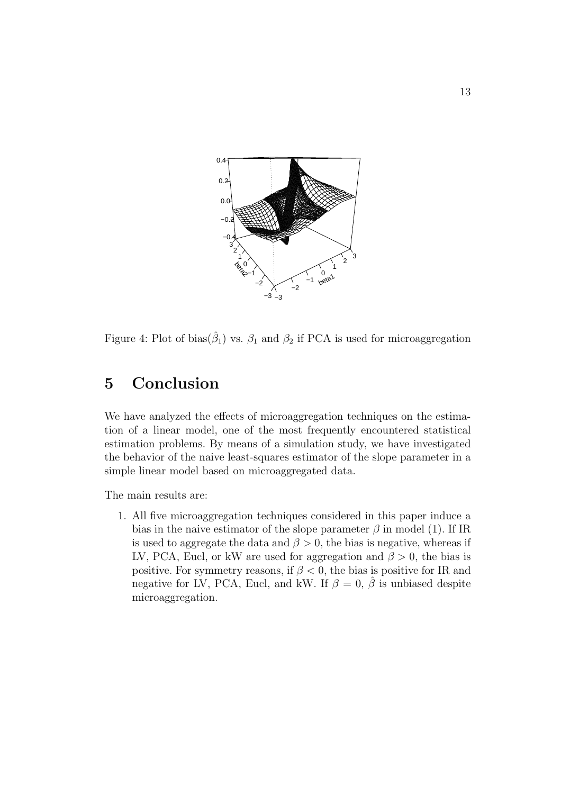

Figure 4: Plot of bias( $\hat{\beta}_1$ ) vs.  $\beta_1$  and  $\beta_2$  if PCA is used for microaggregation

### 5 Conclusion

We have analyzed the effects of microaggregation techniques on the estimation of a linear model, one of the most frequently encountered statistical estimation problems. By means of a simulation study, we have investigated the behavior of the naive least-squares estimator of the slope parameter in a simple linear model based on microaggregated data.

The main results are:

1. All five microaggregation techniques considered in this paper induce a bias in the naive estimator of the slope parameter  $\beta$  in model (1). If IR is used to aggregate the data and  $\beta > 0$ , the bias is negative, whereas if LV, PCA, Eucl, or kW are used for aggregation and  $\beta > 0$ , the bias is positive. For symmetry reasons, if  $\beta < 0$ , the bias is positive for IR and negative for LV, PCA, Eucl, and kW. If  $\beta = 0$ ,  $\hat{\beta}$  is unbiased despite microaggregation.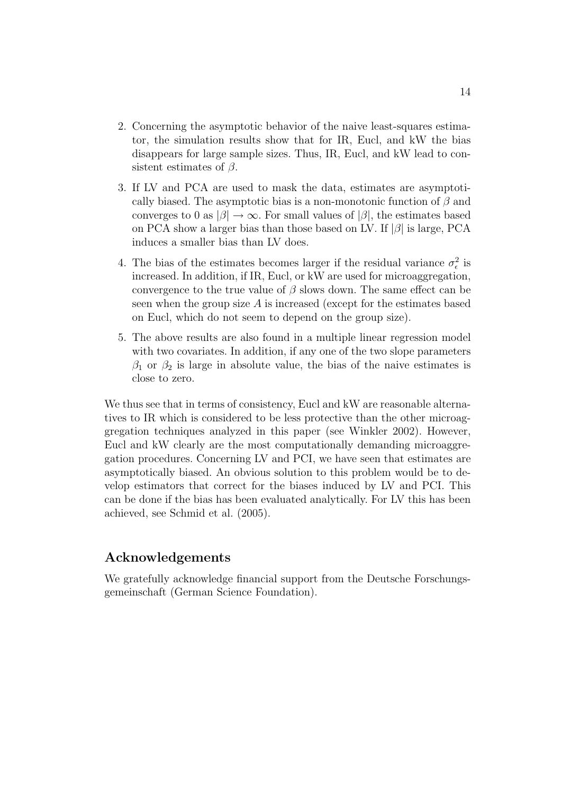- 2. Concerning the asymptotic behavior of the naive least-squares estimator, the simulation results show that for IR, Eucl, and kW the bias disappears for large sample sizes. Thus, IR, Eucl, and kW lead to consistent estimates of  $\beta$ .
- 3. If LV and PCA are used to mask the data, estimates are asymptotically biased. The asymptotic bias is a non-monotonic function of  $\beta$  and converges to 0 as  $|\beta| \to \infty$ . For small values of  $|\beta|$ , the estimates based on PCA show a larger bias than those based on LV. If  $|\beta|$  is large, PCA induces a smaller bias than LV does.
- 4. The bias of the estimates becomes larger if the residual variance  $\sigma_{\epsilon}^2$  is increased. In addition, if IR, Eucl, or kW are used for microaggregation, convergence to the true value of  $\beta$  slows down. The same effect can be seen when the group size  $A$  is increased (except for the estimates based on Eucl, which do not seem to depend on the group size).
- 5. The above results are also found in a multiple linear regression model with two covariates. In addition, if any one of the two slope parameters  $\beta_1$  or  $\beta_2$  is large in absolute value, the bias of the naive estimates is close to zero.

We thus see that in terms of consistency, Eucl and kW are reasonable alternatives to IR which is considered to be less protective than the other microaggregation techniques analyzed in this paper (see Winkler 2002). However, Eucl and kW clearly are the most computationally demanding microaggregation procedures. Concerning LV and PCI, we have seen that estimates are asymptotically biased. An obvious solution to this problem would be to develop estimators that correct for the biases induced by LV and PCI. This can be done if the bias has been evaluated analytically. For LV this has been achieved, see Schmid et al. (2005).

#### Acknowledgements

We gratefully acknowledge financial support from the Deutsche Forschungsgemeinschaft (German Science Foundation).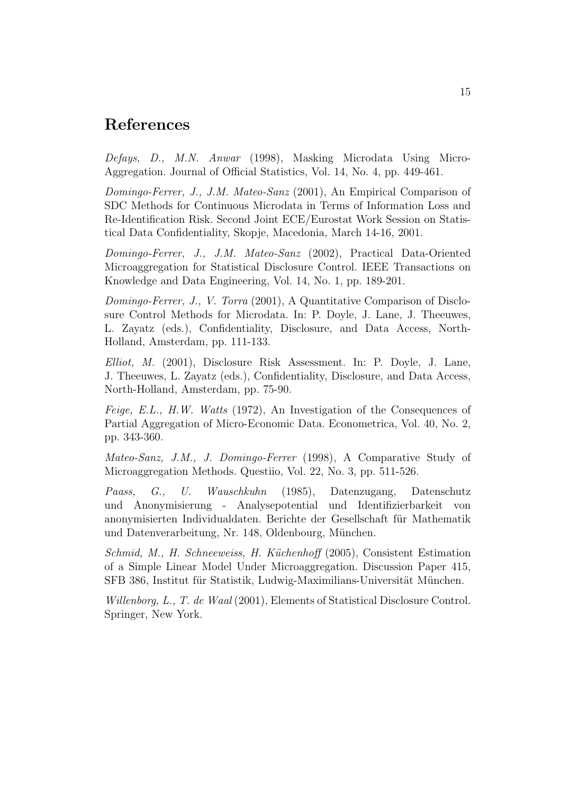#### References

Defays, D., M.N. Anwar (1998), Masking Microdata Using Micro-Aggregation. Journal of Official Statistics, Vol. 14, No. 4, pp. 449-461.

Domingo-Ferrer, J., J.M. Mateo-Sanz (2001), An Empirical Comparison of SDC Methods for Continuous Microdata in Terms of Information Loss and Re-Identification Risk. Second Joint ECE/Eurostat Work Session on Statistical Data Confidentiality, Skopje, Macedonia, March 14-16, 2001.

Domingo-Ferrer, J., J.M. Mateo-Sanz (2002), Practical Data-Oriented Microaggregation for Statistical Disclosure Control. IEEE Transactions on Knowledge and Data Engineering, Vol. 14, No. 1, pp. 189-201.

Domingo-Ferrer, J., V. Torra (2001), A Quantitative Comparison of Disclosure Control Methods for Microdata. In: P. Doyle, J. Lane, J. Theeuwes, L. Zayatz (eds.), Confidentiality, Disclosure, and Data Access, North-Holland, Amsterdam, pp. 111-133.

Elliot, M. (2001), Disclosure Risk Assessment. In: P. Doyle, J. Lane, J. Theeuwes, L. Zayatz (eds.), Confidentiality, Disclosure, and Data Access, North-Holland, Amsterdam, pp. 75-90.

Feige, E.L., H.W. Watts (1972), An Investigation of the Consequences of Partial Aggregation of Micro-Economic Data. Econometrica, Vol. 40, No. 2, pp. 343-360.

Mateo-Sanz, J.M., J. Domingo-Ferrer (1998), A Comparative Study of Microaggregation Methods. Questiio, Vol. 22, No. 3, pp. 511-526.

Paass, G., U. Wauschkuhn (1985), Datenzugang, Datenschutz und Anonymisierung - Analysepotential und Identifizierbarkeit von anonymisierten Individualdaten. Berichte der Gesellschaft für Mathematik und Datenverarbeitung, Nr. 148, Oldenbourg, München.

Schmid, M., H. Schneeweiss, H. Küchenhoff (2005), Consistent Estimation of a Simple Linear Model Under Microaggregation. Discussion Paper 415, SFB 386, Institut für Statistik, Ludwig-Maximilians-Universität München.

Willenborg, L., T. de Waal (2001), Elements of Statistical Disclosure Control. Springer, New York.